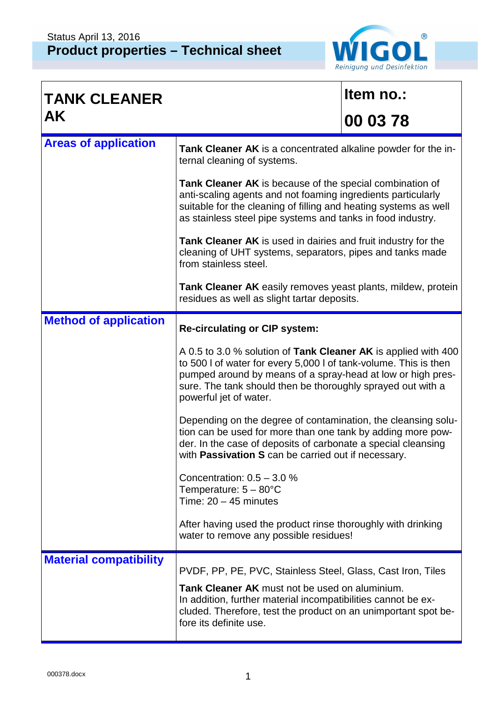

| <b>TANK CLEANER</b>           |                                                                                                                                                                                                                                                                                            | Item no.: |  |
|-------------------------------|--------------------------------------------------------------------------------------------------------------------------------------------------------------------------------------------------------------------------------------------------------------------------------------------|-----------|--|
| <b>AK</b>                     |                                                                                                                                                                                                                                                                                            | 00 03 78  |  |
| <b>Areas of application</b>   | Tank Cleaner AK is a concentrated alkaline powder for the in-<br>ternal cleaning of systems.                                                                                                                                                                                               |           |  |
|                               | Tank Cleaner AK is because of the special combination of<br>anti-scaling agents and not foaming ingredients particularly<br>suitable for the cleaning of filling and heating systems as well<br>as stainless steel pipe systems and tanks in food industry.                                |           |  |
|                               | Tank Cleaner AK is used in dairies and fruit industry for the<br>cleaning of UHT systems, separators, pipes and tanks made<br>from stainless steel.                                                                                                                                        |           |  |
|                               | Tank Cleaner AK easily removes yeast plants, mildew, protein<br>residues as well as slight tartar deposits.                                                                                                                                                                                |           |  |
| <b>Method of application</b>  | <b>Re-circulating or CIP system:</b>                                                                                                                                                                                                                                                       |           |  |
|                               | A 0.5 to 3.0 % solution of Tank Cleaner AK is applied with 400<br>to 500 I of water for every 5,000 I of tank-volume. This is then<br>pumped around by means of a spray-head at low or high pres-<br>sure. The tank should then be thoroughly sprayed out with a<br>powerful jet of water. |           |  |
|                               | Depending on the degree of contamination, the cleansing solu-<br>tion can be used for more than one tank by adding more pow-<br>der. In the case of deposits of carbonate a special cleansing<br>with <b>Passivation S</b> can be carried out if necessary.                                |           |  |
|                               | Concentration: $0.5 - 3.0$ %<br>Temperature: $5 - 80^{\circ}$ C<br>Time: $20 - 45$ minutes                                                                                                                                                                                                 |           |  |
|                               | After having used the product rinse thoroughly with drinking<br>water to remove any possible residues!                                                                                                                                                                                     |           |  |
| <b>Material compatibility</b> | PVDF, PP, PE, PVC, Stainless Steel, Glass, Cast Iron, Tiles                                                                                                                                                                                                                                |           |  |
|                               | <b>Tank Cleaner AK</b> must not be used on aluminium.<br>In addition, further material incompatibilities cannot be ex-<br>cluded. Therefore, test the product on an unimportant spot be-<br>fore its definite use.                                                                         |           |  |